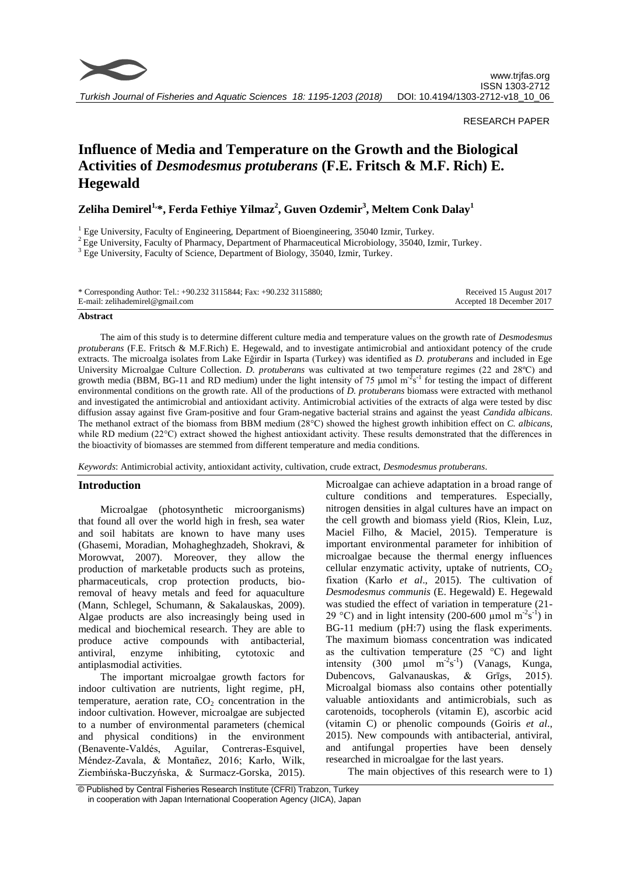

## RESEARCH PAPER

# **Influence of Media and Temperature on the Growth and the Biological Activities of** *Desmodesmus protuberans* **(F.E. Fritsch & M.F. Rich) E. Hegewald**

**Zeliha Demirel1,\*, Ferda Fethiye Yilmaz<sup>2</sup> , Guven Ozdemir<sup>3</sup> , Meltem Conk Dalay<sup>1</sup>**

<sup>1</sup> Ege University, Faculty of Engineering, Department of Bioengineering, 35040 Izmir, Turkey.

<sup>2</sup> Ege University, Faculty of Pharmacy, Department of Pharmaceutical Microbiology, 35040, Izmir, Turkey.

<sup>3</sup> Ege University, Faculty of Science, Department of Biology, 35040, Izmir, Turkey.

| * Corresponding Author: Tel.: +90.232 3115844; Fax: +90.232 3115880; | Received 15 August 2017   |
|----------------------------------------------------------------------|---------------------------|
| E-mail: zelihademirel@gmail.com                                      | Accepted 18 December 2017 |

## **Abstract**

The aim of this study is to determine different culture media and temperature values on the growth rate of *Desmodesmus protuberans* (F.E. Fritsch & M.F.Rich) E. Hegewald, and to investigate antimicrobial and antioxidant potency of the crude extracts. The microalga isolates from Lake Eğirdir in Isparta (Turkey) was identified as *D. protuberans* and included in Ege University Microalgae Culture Collection. *D. protuberans* was cultivated at two temperature regimes (22 and 28ºC) and growth media (BBM, BG-11 and RD medium) under the light intensity of 75 µmol  $m^2s^{-1}$  for testing the impact of different environmental conditions on the growth rate. All of the productions of *D. protuberans* biomass were extracted with methanol and investigated the antimicrobial and antioxidant activity. Antimicrobial activities of the extracts of alga were tested by disc diffusion assay against five Gram-positive and four Gram-negative bacterial strains and against the yeast *Candida albicans*. The methanol extract of the biomass from BBM medium (28°C) showed the highest growth inhibition effect on *C. albicans*, while RD medium (22°C) extract showed the highest antioxidant activity. These results demonstrated that the differences in the bioactivity of biomasses are stemmed from different temperature and media conditions.

*Keywords*: Antimicrobial activity, antioxidant activity, cultivation, crude extract, *Desmodesmus protuberans*.

# **Introduction**

Microalgae (photosynthetic microorganisms) that found all over the world high in fresh, sea water and soil habitats are known to have many uses (Ghasemi, Moradian, Mohagheghzadeh, Shokravi, & Morowvat, 2007). Moreover, they allow the production of marketable products such as proteins, pharmaceuticals, crop protection products, bioremoval of heavy metals and feed for aquaculture (Mann, Schlegel, Schumann, & Sakalauskas, 2009). Algae products are also increasingly being used in medical and biochemical research. They are able to produce active compounds with antibacterial, antiviral, enzyme inhibiting, cytotoxic and antiplasmodial activities.

The important microalgae growth factors for indoor cultivation are nutrients, light regime, pH, temperature, aeration rate,  $CO<sub>2</sub>$  concentration in the indoor cultivation. However, microalgae are subjected to a number of environmental parameters (chemical and physical conditions) in the environment (Benavente-Valdés, Aguilar, Contreras-Esquivel, Méndez-Zavala, & Montañez, 2016; Karło, Wilk, Ziembińska-Buczyńska, & Surmacz-Gorska, 2015).

Microalgae can achieve adaptation in a broad range of culture conditions and temperatures. Especially, nitrogen densities in algal cultures have an impact on the cell growth and biomass yield (Rios, Klein, Luz, Maciel Filho, & Maciel, 2015). Temperature is important environmental parameter for inhibition of microalgae because the thermal energy influences cellular enzymatic activity, uptake of nutrients,  $CO<sub>2</sub>$ fixation (Karło *et al*., 2015). The cultivation of *Desmodesmus communis* (E. Hegewald) E. Hegewald was studied the effect of variation in temperature (21- 29 °C) and in light intensity (200-600 µmol m<sup>-2</sup>s<sup>-1</sup>) in BG-11 medium (pH:7) using the flask experiments. The maximum biomass concentration was indicated as the cultivation temperature  $(25 \degree C)$  and light intensity (300  $\mu$ mol m<sup>-2</sup>s<sup>-1</sup>) (Vanags, Kunga, Dubencovs, Galvanauskas, & Grīgs, 2015). Microalgal biomass also contains other potentially valuable antioxidants and antimicrobials, such as carotenoids, tocopherols (vitamin E), ascorbic acid (vitamin C) or phenolic compounds (Goiris *et al*., 2015). New compounds with antibacterial, antiviral, and antifungal properties have been densely researched in microalgae for the last years.

The main objectives of this research were to 1)

<sup>©</sup> Published by Central Fisheries Research Institute (CFRI) Trabzon, Turkey in cooperation with Japan International Cooperation Agency (JICA), Japan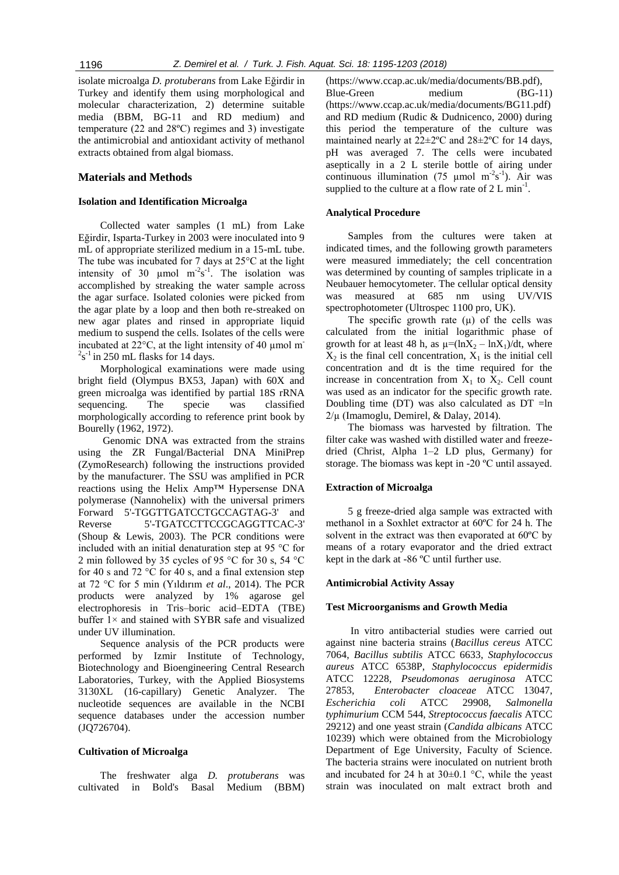isolate microalga *D. protuberans* from Lake Eğirdir in Turkey and identify them using morphological and molecular characterization, 2) determine suitable media (BBM, BG-11 and RD medium) and temperature (22 and 28ºC) regimes and 3) investigate the antimicrobial and antioxidant activity of methanol extracts obtained from algal biomass.

# **Materials and Methods**

# **Isolation and Identification Microalga**

Collected water samples (1 mL) from Lake Eğirdir, Isparta-Turkey in 2003 were inoculated into 9 mL of appropriate sterilized medium in a 15-mL tube. The tube was incubated for 7 days at  $25^{\circ}$ C at the light intensity of 30  $\mu$ mol m<sup>-2</sup>s<sup>-1</sup>. The isolation was accomplished by streaking the water sample across the agar surface. Isolated colonies were picked from the agar plate by a loop and then both re-streaked on new agar plates and rinsed in appropriate liquid medium to suspend the cells. Isolates of the cells were incubated at  $22^{\circ}$ C, at the light intensity of 40 µmol m<sup>-</sup>  $2s<sup>-1</sup>$  in 250 mL flasks for 14 days.

Morphological examinations were made using bright field (Olympus BX53, Japan) with 60X and green microalga was identified by partial 18S rRNA sequencing. The specie was classified morphologically according to reference print book by Bourelly (1962, 1972).

Genomic DNA was extracted from the strains using the ZR Fungal/Bacterial DNA MiniPrep (ZymoResearch) following the instructions provided by the manufacturer. The SSU was amplified in PCR reactions using the Helix Amp™ Hypersense DNA polymerase (Nannohelix) with the universal primers Forward 5'-TGGTTGATCCTGCCAGTAG-3' and Reverse 5'-TGATCCTTCCGCAGGTTCAC-3' (Shoup & Lewis, 2003). The PCR conditions were included with an initial denaturation step at 95 °C for 2 min followed by 35 cycles of 95 °C for 30 s, 54 °C for 40 s and 72  $\degree$ C for 40 s, and a final extension step at 72 °C for 5 min (Yıldırım *et al*., 2014). The PCR products were analyzed by 1% agarose gel electrophoresis in Tris–boric acid–EDTA (TBE) buffer 1× and stained with SYBR safe and visualized under UV illumination.

Sequence analysis of the PCR products were performed by Izmir Institute of Technology, Biotechnology and Bioengineering Central Research Laboratories, Turkey, with the Applied Biosystems 3130XL (16-capillary) Genetic Analyzer. The nucleotide sequences are available in the NCBI sequence databases under the accession number (JQ726704).

#### **Cultivation of Microalga**

The freshwater alga *D. protuberans* was cultivated in Bold's Basal Medium (BBM) (https://www.ccap.ac.uk/media/documents/BB.pdf), Blue-Green medium (BG-11) (https://www.ccap.ac.uk/media/documents/BG11.pdf) and RD medium (Rudic & Dudnicenco, 2000) during this period the temperature of the culture was maintained nearly at 22±2ºC and 28±2ºC for 14 days, pH was averaged 7. The cells were incubated aseptically in a 2 L sterile bottle of airing under continuous illumination (75 µmol m<sup>-2</sup>s<sup>-1</sup>). Air was supplied to the culture at a flow rate of  $2 L min^{-1}$ .

## **Analytical Procedure**

Samples from the cultures were taken at indicated times, and the following growth parameters were measured immediately; the cell concentration was determined by counting of samples triplicate in a Neubauer hemocytometer. The cellular optical density was measured at 685 nm using UV/VIS spectrophotometer (Ultrospec 1100 pro, UK).

The specific growth rate  $(\mu)$  of the cells was calculated from the initial logarithmic phase of growth for at least 48 h, as  $\mu = (\ln X_2 - \ln X_1)/dt$ , where  $X_2$  is the final cell concentration,  $X_1$  is the initial cell concentration and dt is the time required for the increase in concentration from  $X_1$  to  $X_2$ . Cell count was used as an indicator for the specific growth rate. Doubling time (DT) was also calculated as  $DT =ln$  $2/\mu$  (Imamoglu, Demirel, & Dalay, 2014).

The biomass was harvested by filtration. The filter cake was washed with distilled water and freezedried (Christ, Alpha 1–2 LD plus, Germany) for storage. The biomass was kept in -20 ºC until assayed.

#### **Extraction of Microalga**

5 g freeze-dried alga sample was extracted with methanol in a Soxhlet extractor at 60ºC for 24 h. The solvent in the extract was then evaporated at 60ºC by means of a rotary evaporator and the dried extract kept in the dark at -86 ºC until further use.

## **Antimicrobial Activity Assay**

#### **Test Microorganisms and Growth Media**

In vitro antibacterial studies were carried out against nine bacteria strains (*Bacillus cereus* ATCC 7064, *Bacillus subtilis* ATCC 6633, *Staphylococcus aureus* ATCC 6538P, *Staphylococcus epidermidis* ATCC 12228, *Pseudomonas aeruginosa* ATCC 27853, *Enterobacter cloaceae* ATCC 13047, *Escherichia coli* ATCC 29908, *Salmonella typhimurium* CCM 544, *Streptococcus faecalis* ATCC 29212) and one yeast strain (*Candida albicans* ATCC 10239) which were obtained from the Microbiology Department of Ege University, Faculty of Science. The bacteria strains were inoculated on nutrient broth and incubated for 24 h at  $30\pm0.1$  °C, while the yeast strain was inoculated on malt extract broth and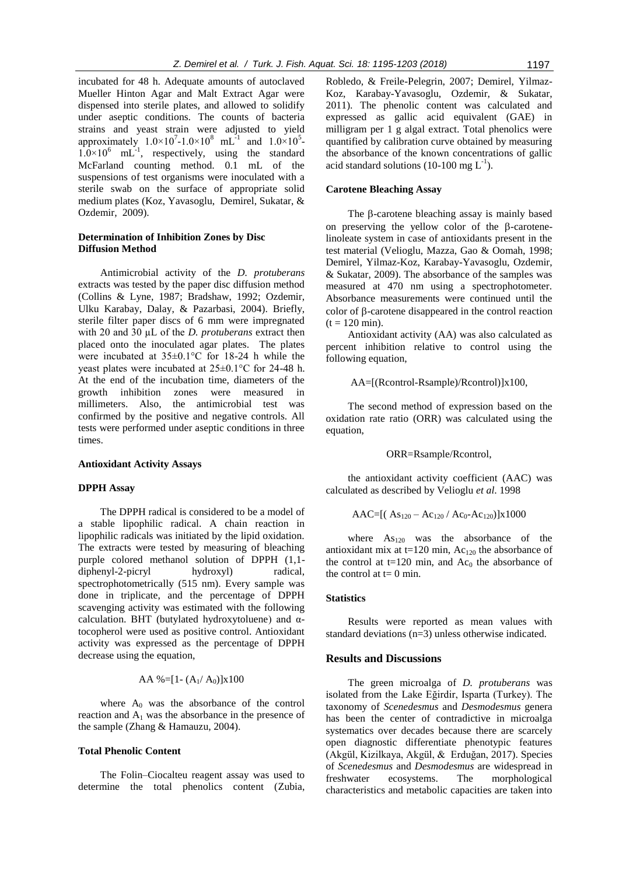incubated for 48 h. Adequate amounts of autoclaved Mueller Hinton Agar and Malt Extract Agar were dispensed into sterile plates, and allowed to solidify under aseptic conditions. The counts of bacteria strains and yeast strain were adjusted to yield approximately  $1.0 \times 10^{7} - 1.0 \times 10^{8}$  mL<sup>-1</sup> and  $1.0 \times 10^{5}$  $1.0 \times 10^6$  mL<sup>-1</sup>, respectively, using the standard McFarland counting method. 0.1 mL of the suspensions of test organisms were inoculated with a sterile swab on the surface of appropriate solid medium plates (Koz, Yavasoglu, Demirel, Sukatar, & Ozdemir, 2009).

## **Determination of Inhibition Zones by Disc Diffusion Method**

Antimicrobial activity of the *D. protuberans* extracts was tested by the paper disc diffusion method (Collins & Lyne, 1987; Bradshaw, 1992; Ozdemir, Ulku Karabay, Dalay, & Pazarbasi, 2004). Briefly, sterile filter paper discs of 6 mm were impregnated with 20 and 30 µL of the *D. protuberans* extract then placed onto the inoculated agar plates. The plates were incubated at 35±0.1°C for 18-24 h while the yeast plates were incubated at 25±0.1°C for 24-48 h. At the end of the incubation time, diameters of the growth inhibition zones were measured in millimeters. Also, the antimicrobial test was confirmed by the positive and negative controls. All tests were performed under aseptic conditions in three times.

#### **Antioxidant Activity Assays**

#### **DPPH Assay**

The DPPH radical is considered to be a model of a stable lipophilic radical. A chain reaction in lipophilic radicals was initiated by the lipid oxidation. The extracts were tested by measuring of bleaching purple colored methanol solution of DPPH (1,1 diphenyl-2-picryl hydroxyl) radical, spectrophotometrically (515 nm). Every sample was done in triplicate, and the percentage of DPPH scavenging activity was estimated with the following calculation. BHT (butylated hydroxytoluene) and αtocopherol were used as positive control. Antioxidant activity was expressed as the percentage of DPPH decrease using the equation,

$$
AA \text{ %}=[1-(A_1/A_0)]x100
$$

where  $A_0$  was the absorbance of the control reaction and  $A_1$  was the absorbance in the presence of the sample (Zhang & Hamauzu, 2004).

## **Total Phenolic Content**

The Folin–Ciocalteu reagent assay was used to determine the total phenolics content (Zubia, Robledo, & Freile-Pelegrin, 2007; Demirel, Yilmaz-Koz, Karabay-Yavasoglu, Ozdemir, & Sukatar, 2011). The phenolic content was calculated and expressed as gallic acid equivalent (GAE) in milligram per 1 g algal extract. Total phenolics were quantified by calibration curve obtained by measuring the absorbance of the known concentrations of gallic acid standard solutions (10-100 mg  $L^{-1}$ ).

## **Carotene Bleaching Assay**

The  $\beta$ -carotene bleaching assay is mainly based on preserving the yellow color of the  $\beta$ -carotenelinoleate system in case of antioxidants present in the test material (Velioglu, Mazza, Gao & Oomah, 1998; Demirel, Yilmaz-Koz, Karabay-Yavasoglu, Ozdemir, & Sukatar, 2009). The absorbance of the samples was measured at 470 nm using a spectrophotometer. Absorbance measurements were continued until the color of  $\beta$ -carotene disappeared in the control reaction  $(t = 120 \text{ min}).$ 

Antioxidant activity (AA) was also calculated as percent inhibition relative to control using the following equation,

## AA=[(Rcontrol-Rsample)/Rcontrol)]x100,

The second method of expression based on the oxidation rate ratio (ORR) was calculated using the equation,

#### ORR=Rsample/Rcontrol,

the antioxidant activity coefficient (AAC) was calculated as described by Velioglu *et al*. 1998

$$
AAC=[( As_{120}-Ac_{120}/ Ac_0-Ac_{120})]x1000
$$

where  $As<sub>120</sub>$  was the absorbance of the antioxidant mix at t=120 min,  $Ac<sub>120</sub>$  the absorbance of the control at  $t=120$  min, and  $Ac<sub>0</sub>$  the absorbance of the control at  $t=0$  min.

#### **Statistics**

Results were reported as mean values with standard deviations (n=3) unless otherwise indicated.

#### **Results and Discussions**

The green microalga of *D. protuberans* was isolated from the Lake Eğirdir, Isparta (Turkey). The taxonomy of *Scenedesmus* and *Desmodesmus* genera has been the center of contradictive in microalga systematics over decades because there are scarcely open diagnostic differentiate phenotypic features (Akgül, Kizilkaya, Akgül, & Erduğan, 2017). Species of *Scenedesmus* and *Desmodesmus* are widespread in freshwater ecosystems. The morphological characteristics and metabolic capacities are taken into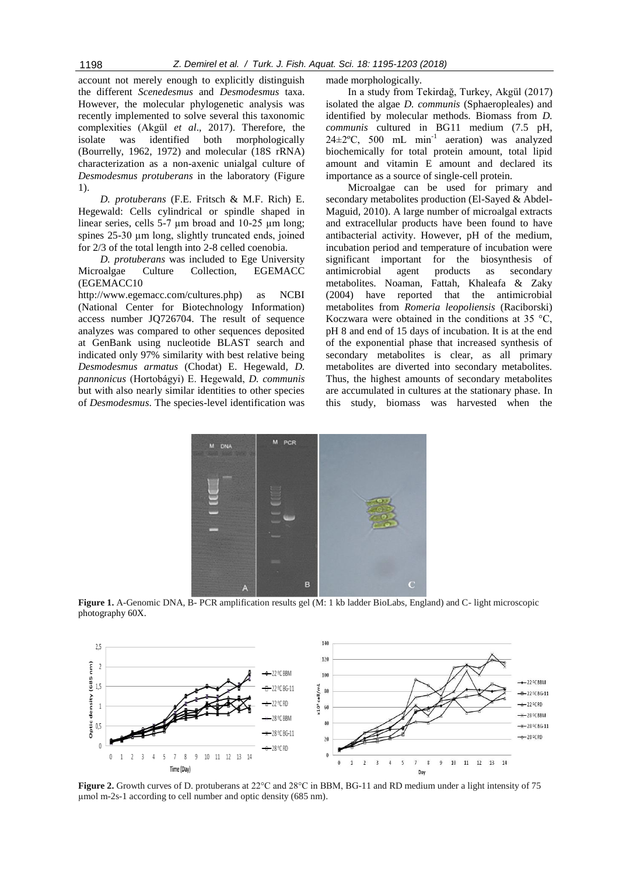account not merely enough to explicitly distinguish the different *Scenedesmus* and *Desmodesmus* taxa. However, the molecular phylogenetic analysis was recently implemented to solve several this taxonomic complexities (Akgül *et al*., 2017). Therefore, the isolate was identified both morphologically (Bourrelly, 1962, 1972) and molecular (18S rRNA) characterization as a non-axenic unialgal culture of *Desmodesmus protuberans* in the laboratory (Figure 1).

*D. protuberans* (F.E. Fritsch & M.F. Rich) E. Hegewald: Cells cylindrical or spindle shaped in linear series, cells 5-7 µm broad and 10-25 µm long; spines 25-30  $\mu$ m long, slightly truncated ends, joined for 2/3 of the total length into 2-8 celled coenobia.

*D. protuberans* was included to Ege University Microalgae Culture Collection, EGEMACC (EGEMACC10

http://www.egemacc.com/cultures.php) as NCBI (National Center for Biotechnology Information) access number JQ726704. The result of sequence analyzes was compared to other sequences deposited at GenBank using nucleotide BLAST search and indicated only 97% similarity with best relative being *Desmodesmus armatus* (Chodat) E. Hegewald*, D. pannonicus* (Hortobágyi) E. Hegewald, *D. communis*  but with also nearly similar identities to other species of *Desmodesmus*. The species-level identification was made morphologically.

In a study from Tekirdağ, Turkey, Akgül (2017) isolated the algae *D. communis* (Sphaeropleales) and identified by molecular methods. Biomass from *D. communis* cultured in BG11 medium (7.5 pH,  $24 \pm 2$ °C, 500 mL min<sup>-1</sup> aeration) was analyzed biochemically for total protein amount, total lipid amount and vitamin E amount and declared its importance as a source of single-cell protein.

Microalgae can be used for primary and secondary metabolites production (El-Sayed & Abdel-Maguid, 2010). A large number of microalgal extracts and extracellular products have been found to have antibacterial activity. However, pH of the medium, incubation period and temperature of incubation were significant important for the biosynthesis of antimicrobial agent products as secondary metabolites. Noaman, Fattah, Khaleafa & Zaky (2004) have reported that the antimicrobial metabolites from *Romeria leopoliensis* (Raciborski) Koczwara were obtained in the conditions at 35  $\degree$ C, pH 8 and end of 15 days of incubation. It is at the end of the exponential phase that increased synthesis of secondary metabolites is clear, as all primary metabolites are diverted into secondary metabolites. Thus, the highest amounts of secondary metabolites are accumulated in cultures at the stationary phase. In this study, biomass was harvested when the



**Figure 1.** A-Genomic DNA, B- PCR amplification results gel (M: 1 kb ladder BioLabs, England) and C- light microscopic photography 60X.



**Figure 2.** Growth curves of D. protuberans at 22<sup>o</sup>C and 28<sup>o</sup>C in BBM, BG-11 and RD medium under a light intensity of 75 µmol m-2s-1 according to cell number and optic density (685 nm).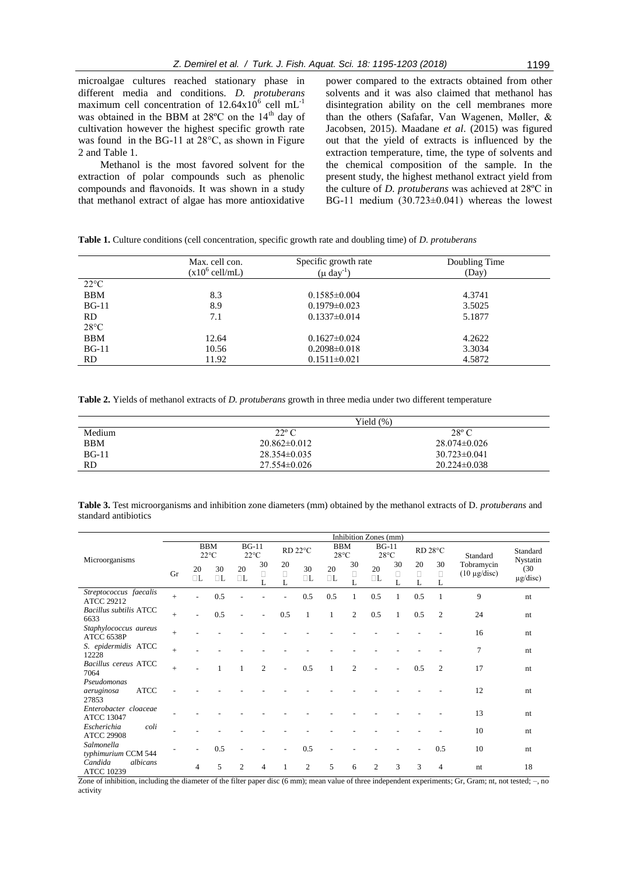microalgae cultures reached stationary phase in different media and conditions. *D. protuberans*  maximum cell concentration of  $12.64 \times 10^6$  cell mL<sup>-1</sup> was obtained in the BBM at  $28^{\circ}$ C on the  $14^{\text{th}}$  day of cultivation however the highest specific growth rate was found in the BG-11 at 28°C, as shown in Figure 2 and Table 1.

Methanol is the most favored solvent for the extraction of polar compounds such as phenolic compounds and flavonoids. It was shown in a study that methanol extract of algae has more antioxidative

power compared to the extracts obtained from other solvents and it was also claimed that methanol has disintegration ability on the cell membranes more than the others (Safafar, Van Wagenen, Møller, & Jacobsen, 2015). Maadane *et al*. (2015) was figured out that the yield of extracts is influenced by the extraction temperature, time, the type of solvents and the chemical composition of the sample. In the present study, the highest methanol extract yield from the culture of *D. protuberans* was achieved at 28ºC in BG-11 medium (30.723±0.041) whereas the lowest

|                | Max. cell con.<br>$(x10^6 \text{ cell/mL})$ | Specific growth rate<br>$(\mu \text{ day}^{-1})$ | Doubling Time<br>(Day) |  |  |  |
|----------------|---------------------------------------------|--------------------------------------------------|------------------------|--|--|--|
| $22^{\circ}C$  |                                             |                                                  |                        |  |  |  |
| <b>BBM</b>     | 8.3                                         | $0.1585 \pm 0.004$                               | 4.3741                 |  |  |  |
| $BG-11$        | 8.9                                         | $0.1979 \pm 0.023$                               | 3.5025                 |  |  |  |
| RD.            | 7.1                                         | $0.1337\pm0.014$                                 | 5.1877                 |  |  |  |
| $28^{\circ}$ C |                                             |                                                  |                        |  |  |  |
| <b>BBM</b>     | 12.64                                       | $0.1627 \pm 0.024$                               | 4.2622                 |  |  |  |
| $BG-11$        | 10.56                                       | $0.2098 \pm 0.018$                               | 3.3034                 |  |  |  |
| RD.            | 11.92                                       | $0.1511 \pm 0.021$                               | 4.5872                 |  |  |  |

**Table 1.** Culture conditions (cell concentration, specific growth rate and doubling time) of *D. protuberans* 

**Table 2.** Yields of methanol extracts of *D. protuberans* growth in three media under two different temperature

|            |                  | Yield $(\%)$       |
|------------|------------------|--------------------|
| Medium     | $22^{\circ}$ C   | $28^{\circ}$ C     |
| <b>BBM</b> | $20.862\pm0.012$ | $28.074\pm0.026$   |
| $BG-11$    | $28.354\pm0.035$ | $30.723 \pm 0.041$ |
| <b>RD</b>  | $27.554\pm0.026$ | $20.224 \pm 0.038$ |

**Table 3.** Test microorganisms and inhibition zone diameters (mm) obtained by the methanol extracts of D. *protuberans* and standard antibiotics

|                                                   | Inhibition Zones (mm) |                |                             |                |                |                   |                     |                              |                   |                           |                   |                   |                   |                                 |                                   |
|---------------------------------------------------|-----------------------|----------------|-----------------------------|----------------|----------------|-------------------|---------------------|------------------------------|-------------------|---------------------------|-------------------|-------------------|-------------------|---------------------------------|-----------------------------------|
| Microorganisms                                    |                       |                | <b>BBM</b><br>$22^{\circ}C$ | $BG-11$        | $22^{\circ}C$  |                   | RD <sub>22°</sub> C | <b>BBM</b><br>$28^{\circ}$ C |                   | $BG-11$<br>$28^{\circ}$ C |                   |                   | RD 28°C           | Standard                        | Standard                          |
|                                                   | Gr                    | 20<br>$\Box L$ | 30<br>$\Box L$              | 20<br>$\Box L$ | 30<br>$\Box$   | 20<br>$\Box$<br>L | 30<br>$\Box L$      | 20<br>$\Box L$               | 30<br>$\Box$<br>L | 20<br>$\Box L$            | 30<br>$\Box$<br>L | 20<br>$\Box$<br>L | 30<br>$\Box$<br>L | Tobramycin<br>$(10 \mu g/disc)$ | Nystatin<br>(30)<br>$\mu$ g/disc) |
| Streptococcus faecalis<br><b>ATCC 29212</b>       | $^{+}$                |                | 0.5                         |                |                |                   | 0.5                 | 0.5                          | 1                 | 0.5                       | 1                 | 0.5               |                   | 9                               | nt                                |
| <b>Bacillus subtilis ATCC</b><br>6633             | $^{+}$                |                | 0.5                         |                |                | 0.5               | $\mathbf{1}$        | $\mathbf{1}$                 | 2                 | 0.5                       | $\mathbf{1}$      | 0.5               | $\overline{2}$    | 24                              | nt                                |
| Staphylococcus aureus<br>ATCC 6538P               | $^{+}$                |                |                             |                |                |                   |                     |                              |                   |                           |                   |                   |                   | 16                              | nt                                |
| S. epidermidis ATCC<br>12228                      | $^{+}$                |                |                             |                |                |                   |                     |                              |                   |                           |                   |                   |                   | 7                               | nt                                |
| Bacillus cereus ATCC<br>7064                      | $^{+}$                |                |                             |                | $\overline{2}$ |                   | 0.5                 | 1                            | $\mathfrak{D}$    |                           |                   | 0.5               | $\overline{2}$    | 17                              | nt                                |
| Pseudomonas<br><b>ATCC</b><br>aeruginosa<br>27853 |                       |                |                             |                |                |                   |                     |                              |                   |                           |                   |                   |                   | 12                              | nt                                |
| Enterobacter cloaceae<br><b>ATCC 13047</b>        |                       |                |                             |                |                |                   |                     |                              |                   |                           |                   |                   |                   | 13                              | nt                                |
| Escherichia<br>coli<br><b>ATCC 29908</b>          |                       |                |                             |                |                |                   |                     |                              |                   |                           |                   |                   |                   | 10                              | nt                                |
| Salmonella<br>typhimurium CCM 544                 |                       |                | 0.5                         |                |                |                   | 0.5                 |                              |                   |                           |                   |                   | 0.5               | 10                              | nt                                |
| Candida<br>albicans<br><b>ATCC 10239</b>          |                       | 4              | 5                           | $\overline{c}$ | 4              | $\mathbf{1}$      | 2                   | 5                            | 6                 | $\overline{c}$            | 3                 | 3                 | $\overline{4}$    | nt                              | 18                                |

Zone of inhibition, including the diameter of the filter paper disc (6 mm); mean value of three independent experiments; Gr, Gram; nt, not tested; -, no activity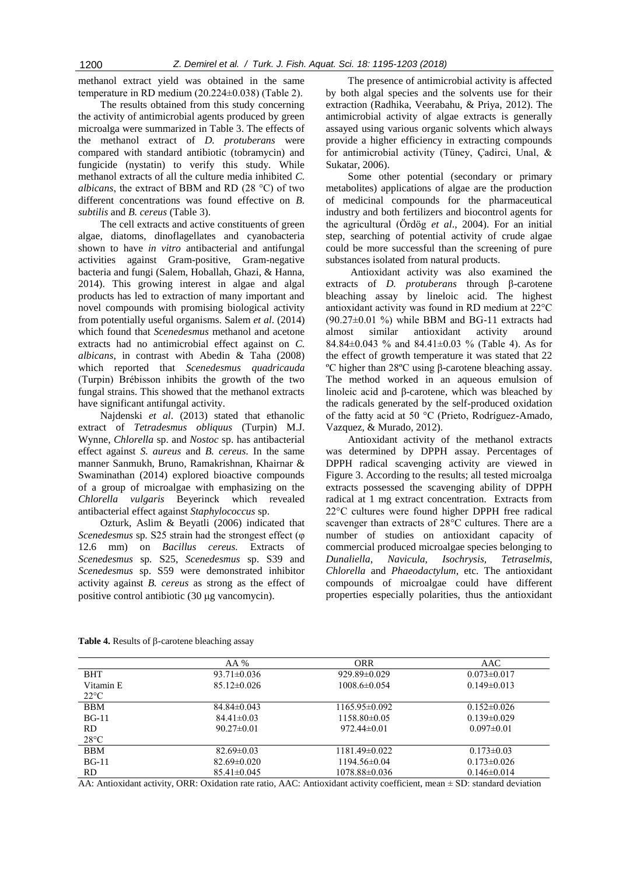methanol extract yield was obtained in the same temperature in RD medium (20.224±0.038) (Table 2).

The results obtained from this study concerning the activity of antimicrobial agents produced by green microalga were summarized in Table 3. The effects of the methanol extract of *D. protuberans* were compared with standard antibiotic (tobramycin) and fungicide (nystatin) to verify this study. While methanol extracts of all the culture media inhibited *C. albicans*, the extract of BBM and RD (28 °C) of two different concentrations was found effective on *B. subtilis* and *B. cereus* (Table 3).

The cell extracts and active constituents of green algae, diatoms, dinoflagellates and cyanobacteria shown to have *in vitro* antibacterial and antifungal activities against Gram-positive, Gram-negative bacteria and fungi (Salem, Hoballah, Ghazi, & Hanna, 2014). This growing interest in algae and algal products has led to extraction of many important and novel compounds with promising biological activity from potentially useful organisms. Salem *et al*. (2014) which found that *Scenedesmus* methanol and acetone extracts had no antimicrobial effect against on *C. albicans*, in contrast with Abedin & Taha (2008) which reported that *Scenedesmus quadricauda* (Turpin) Brébisson inhibits the growth of the two fungal strains. This showed that the methanol extracts have significant antifungal activity.

Najdenski *et al*. (2013) stated that ethanolic extract of *Tetradesmus obliquus* (Turpin) M.J. Wynne, *Chlorella* sp. and *Nostoc* sp. has antibacterial effect against *S. aureus* and *B. cereus*. In the same manner Sanmukh, Bruno, Ramakrishnan, Khairnar & Swaminathan (2014) explored bioactive compounds of a group of microalgae with emphasizing on the *Chlorella vulgaris* Beyerinck which revealed antibacterial effect against *Staphylococcus* sp.

Ozturk, Aslim & Beyatli (2006) indicated that *Scenedesmus* sp*.* S25 strain had the strongest effect (φ 12.6 mm) on *Bacillus cereus.* Extracts of *Scenedesmus* sp*.* S25, *Scenedesmus* sp. S39 and *Scenedesmus* sp. S59 were demonstrated inhibitor activity against *B. cereus* as strong as the effect of positive control antibiotic  $(30 \mu g \text{ vancomycin}).$ 

The presence of antimicrobial activity is affected by both algal species and the solvents use for their extraction (Radhika, Veerabahu, & Priya, 2012). The antimicrobial activity of algae extracts is generally assayed using various organic solvents which always provide a higher efficiency in extracting compounds for antimicrobial activity (Tüney, Çadirci, Unal, & Sukatar, 2006).

Some other potential (secondary or primary metabolites) applications of algae are the production of medicinal compounds for the pharmaceutical industry and both fertilizers and biocontrol agents for the agricultural (Ördög *et al*., 2004). For an initial step, searching of potential activity of crude algae could be more successful than the screening of pure substances isolated from natural products.

Antioxidant activity was also examined the extracts of *D. protuberans* through β-carotene bleaching assay by lineloic acid. The highest antioxidant activity was found in RD medium at 22°C  $(90.27\pm0.01)$ %) while BBM and BG-11 extracts had almost similar antioxidant activity around 84.84±0.043 % and 84.41±0.03 % (Table 4). As for the effect of growth temperature it was stated that 22 ºC higher than 28ºC using β-carotene bleaching assay. The method worked in an aqueous emulsion of linoleic acid and β-carotene, which was bleached by the radicals generated by the self-produced oxidation of the fatty acid at 50 °C (Prieto, Rodríguez-Amado, Vazquez, & Murado, 2012).

Antioxidant activity of the methanol extracts was determined by DPPH assay. Percentages of DPPH radical scavenging activity are viewed in Figure 3. According to the results; all tested microalga extracts possessed the scavenging ability of DPPH radical at 1 mg extract concentration. Extracts from 22°C cultures were found higher DPPH free radical scavenger than extracts of 28°C cultures. There are a number of studies on antioxidant capacity of commercial produced microalgae species belonging to *Dunaliella*, *Navicula*, *Isochrysis, Tetraselmis*, *Chlorella* and *Phaeodactylum*, etc. The antioxidant compounds of microalgae could have different properties especially polarities, thus the antioxidant

|               | AA %              | <b>ORR</b>         | AAC               |
|---------------|-------------------|--------------------|-------------------|
| <b>BHT</b>    | $93.71 \pm 0.036$ | $929.89\pm0.029$   | $0.073 \pm 0.017$ |
| Vitamin E     | $85.12\pm0.026$   | $1008.6 \pm 0.054$ | $0.149 \pm 0.013$ |
| $22^{\circ}C$ |                   |                    |                   |
| BBM           | $84.84 \pm 0.043$ | $1165.95\pm0.092$  | $0.152 \pm 0.026$ |
| $BG-11$       | $84.41 \pm 0.03$  | 1158.80±0.05       | $0.139\pm0.029$   |
| RD.           | $90.27 \pm 0.01$  | $972.44\pm0.01$    | $0.097 \pm 0.01$  |
| $28^{\circ}C$ |                   |                    |                   |
| BBM           | $82.69 \pm 0.03$  | $1181.49\pm0.022$  | $0.173 \pm 0.03$  |
| $BG-11$       | $82.69 \pm 0.020$ | 1194.56±0.04       | $0.173 \pm 0.026$ |
| RD.           | $85.41 \pm 0.045$ | 1078.88±0.036      | $0.146 \pm 0.014$ |

**Table 4.** Results of  $\beta$ -carotene bleaching assay

AA: Antioxidant activity, ORR: Oxidation rate ratio, AAC: Antioxidant activity coefficient, mean  $\pm$  SD: standard deviation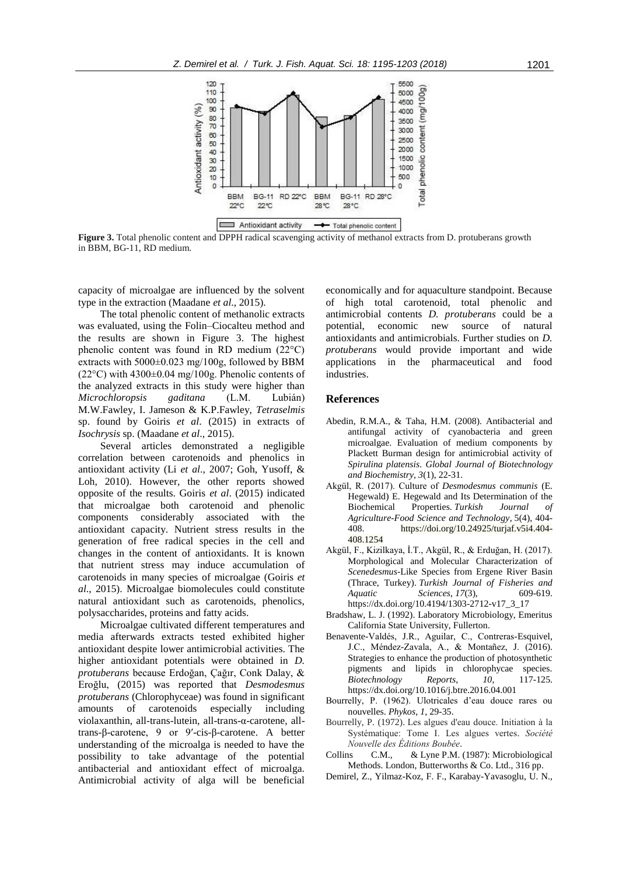

**Figure 3.** Total phenolic content and DPPH radical scavenging activity of methanol extracts from D. protuberans growth in BBM, BG-11, RD medium.

capacity of microalgae are influenced by the solvent type in the extraction (Maadane *et al*., 2015).

The total phenolic content of methanolic extracts was evaluated, using the Folin–Ciocalteu method and the results are shown in Figure 3. The highest phenolic content was found in RD medium (22°C) extracts with  $5000\pm0.023$  mg/100g, followed by BBM  $(22^{\circ}$ C) with  $4300\pm0.04$  mg/100g. Phenolic contents of the analyzed extracts in this study were higher than *Microchloropsis gaditana* (L.M. Lubián) M.W.Fawley, I. Jameson & K.P.Fawley, *Tetraselmis* sp. found by Goiris *et al*. (2015) in extracts of *Isochrysis* sp. (Maadane *et al*., 2015).

Several articles demonstrated a negligible correlation between carotenoids and phenolics in antioxidant activity (Li *et al*., 2007; Goh, Yusoff, & Loh, 2010). However, the other reports showed opposite of the results. Goiris *et al*. (2015) indicated that microalgae both carotenoid and phenolic components considerably associated with the antioxidant capacity. Nutrient stress results in the generation of free radical species in the cell and changes in the content of antioxidants. It is known that nutrient stress may induce accumulation of carotenoids in many species of microalgae (Goiris *et al*., 2015). Microalgae biomolecules could constitute natural antioxidant such as carotenoids, phenolics, polysaccharides, proteins and fatty acids.

Microalgae cultivated different temperatures and media afterwards extracts tested exhibited higher antioxidant despite lower antimicrobial activities. The higher antioxidant potentials were obtained in *D. protuberans* because Erdoğan, Çağır, Conk Dalay, & Eroğlu, (2015) was reported that *Desmodesmus protuberans* (Chlorophyceae) was found in significant amounts of carotenoids especially including violaxanthin, all-trans-lutein, all-trans-α-carotene, alltrans-β-carotene, 9 or 9′-cis-β-carotene. A better understanding of the microalga is needed to have the possibility to take advantage of the potential antibacterial and antioxidant effect of microalga. Antimicrobial activity of alga will be beneficial

economically and for aquaculture standpoint. Because of high total carotenoid, total phenolic and antimicrobial contents *D. protuberans* could be a potential, economic new source of natural antioxidants and antimicrobials. Further studies on *D. protuberans* would provide important and wide applications in the pharmaceutical and food industries.

## **References**

- Abedin, R.M.A., & Taha, H.M. (2008). Antibacterial and antifungal activity of cyanobacteria and green microalgae. Evaluation of medium components by Plackett Burman design for antimicrobial activity of *Spirulina platensis*. *Global Journal of Biotechnology and Biochemistry*, *3*(1), 22-31.
- Akgül, R. (2017). Culture of *Desmodesmus communis* (E. Hegewald) E. Hegewald and Its Determination of the Biochemical Properties. *Turkish Journal of Agriculture-Food Science and Technology*, 5(4), 404- 408. https://doi.org/10.24925/turjaf.v5i4.404- 408.1254
- Akgül, F., Kizilkaya, İ.T., Akgül, R., & Erduğan, H. (2017). Morphological and Molecular Characterization of *Scenedesmus*-Like Species from Ergene River Basin (Thrace, Turkey). *Turkish Journal of Fisheries and Aquatic Sciences*, *17*(3), 609-619. https://dx.doi.org/10.4194/1303-2712-v17\_3\_17
- Bradshaw, L. J. (1992). Laboratory Microbiology, Emeritus California State University, Fullerton.
- Benavente-Valdés, J.R., Aguilar, C., Contreras-Esquivel, J.C., Méndez-Zavala, A., & Montañez, J. (2016). Strategies to enhance the production of photosynthetic pigments and lipids in chlorophycae species. *Biotechnology Reports*, *10*, 117-125. https://dx.doi.org/10.1016/j.btre.2016.04.001
- Bourrelly, P. (1962). Ulotricales d'eau douce rares ou nouvelles. *Phykos*, *1*, 29-35.
- Bourrelly, P. (1972). Les algues d'eau douce. Initiation à la Systématique: Tome I. Les algues vertes. *Société Nouvelle des Éditions Boubée*.
- Collins C.M., & Lyne P.M. (1987): Microbiological Methods. London, Butterworths & Co. Ltd., 316 pp.
- Demirel, Z., Yilmaz-Koz, F. F., Karabay-Yavasoglu, U. N.,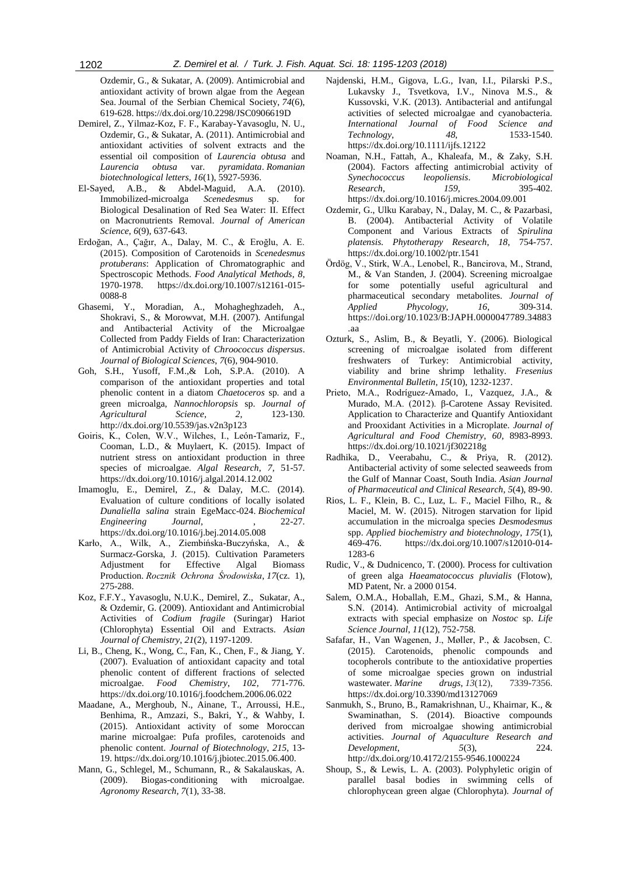Ozdemir, G., & Sukatar, A. (2009). Antimicrobial and antioxidant activity of brown algae from the Aegean Sea. Journal of the Serbian Chemical Society, *74*(6), 619-628. https://dx.doi.org/10.2298/JSC0906619D

- Demirel, Z., Yilmaz-Koz, F. F., Karabay-Yavasoglu, N. U., Ozdemir, G., & Sukatar, A. (2011). Antimicrobial and antioxidant activities of solvent extracts and the essential oil composition of *Laurencia obtusa* and *Laurencia obtusa* var. *pyramidata*. *Romanian biotechnological letters*, *16*(1), 5927-5936.
- El-Sayed, A.B., & Abdel-Maguid, A.A. (2010). Immobilized-microalga *Scenedesmus* sp. for Biological Desalination of Red Sea Water: II. Effect on Macronutrients Removal. *Journal of American Science*, *6*(9), 637-643.
- Erdoğan, A., Çağır, A., Dalay, M. C., & Eroğlu, A. E. (2015). Composition of Carotenoids in *Scenedesmus protuberans*: Application of Chromatographic and Spectroscopic Methods. *Food Analytical Methods*, *8*, 1970-1978. https://dx.doi.org/10.1007/s12161-015- 0088-8
- Ghasemi, Y., Moradian, A., Mohagheghzadeh, A., Shokravi, S., & Morowvat, M.H. (2007). Antifungal and Antibacterial Activity of the Microalgae Collected from Paddy Fields of Iran: Characterization of Antimicrobial Activity of *Chroococcus dispersus*. *Journal of Biological Sciences*, *7*(6), 904-9010.
- Goh, S.H., Yusoff, F.M.,& Loh, S.P.A. (2010). A comparison of the antioxidant properties and total phenolic content in a diatom *Chaetoceros* sp. and a green microalga, *Nannochloropsis* sp. *Journal of Agricultural Science*, *2*, 123-130. http://dx.doi.org/10.5539/jas.v2n3p123
- Goiris, K., Colen, W.V., Wilches, I., León-Tamariz, F., Cooman, L.D., & Muylaert, K. (2015). Impact of nutrient stress on antioxidant production in three species of microalgae. *Algal Research*, *7*, 51-57. https://dx.doi.org/10.1016/j.algal.2014.12.002
- Imamoglu, E., Demirel, Z., & Dalay, M.C. (2014). Evaluation of culture conditions of locally isolated *Dunaliella salina* strain EgeMacc-024. *Biochemical Engineering Journal*, , 22-27. https://dx.doi.org/10.1016/j.bej.2014.05.008
- Karło, A., Wilk, A., Ziembińska-Buczyńska, A., & Surmacz-Gorska, J. (2015). Cultivation Parameters Adjustment for Effective Algal Biomass Production. *Rocznik Ochrona Środowiska*, *17*(cz. 1), 275-288.
- Koz, F.F.Y., Yavasoglu, N.U.K., Demirel, Z., Sukatar, A., & Ozdemir, G. (2009). Antioxidant and Antimicrobial Activities of *Codium fragile* (Suringar) Hariot (Chlorophyta) Essential Oil and Extracts. *Asian Journal of Chemistry*, *21*(2), 1197-1209.
- Li, B., Cheng, K., Wong, C., Fan, K., Chen, F., & Jiang, Y. (2007). Evaluation of antioxidant capacity and total phenolic content of different fractions of selected microalgae. *Food Chemistry*, *102*, 771-776. https://dx.doi.org/10.1016/j.foodchem.2006.06.022
- Maadane, A., Merghoub, N., Ainane, T., Arroussi, H.E., Benhima, R., Amzazi, S., Bakri, Y., & Wahby, I. (2015). Antioxidant activity of some Moroccan marine microalgae: Pufa profiles, carotenoids and phenolic content. *Journal of Biotechnology*, *215*, 13- 19. https://dx.doi.org/10.1016/j.jbiotec.2015.06.400.
- Mann, G., Schlegel, M., Schumann, R., & Sakalauskas, A. (2009). Biogas-conditioning with microalgae. *Agronomy Research, 7*(1), 33-38.
- Najdenski, H.M., Gigova, L.G., Ivan, I.I., Pilarski P.S., Lukavsky J., Tsvetkova, I.V., Ninova M.S., & Kussovski, V.K. (2013). Antibacterial and antifungal activities of selected microalgae and cyanobacteria. *International Journal of Food Science and Technology*, *48*, 1533-1540. https://dx.doi.org/10.1111/ijfs.12122
- Noaman, N.H., Fattah, A., Khaleafa, M., & Zaky, S.H. (2004). Factors affecting antimicrobial activity of *Synechococcus leopoliensis*. *Microbiological Research*, *159*, 395-402. https://dx.doi.org/10.1016/j.micres.2004.09.001
- Ozdemir, G., Ulku Karabay, N., Dalay, M. C., & Pazarbasi, B. (2004). Antibacterial Activity of Volatile Component and Various Extracts of *Spirulina platensis. Phytotherapy Research*, *18*, 754-757. https://dx.doi.org/10.1002/ptr.1541
- Ördög, V., Stirk, W.A., Lenobel, R., Bancirova, M., Strand, M., & Van Standen, J. (2004). Screening microalgae for some potentially useful agricultural and pharmaceutical secondary metabolites. *Journal of Applied Phycology*, *16*, 309-314. https://doi.org/10.1023/B:JAPH.0000047789.34883 .aa
- Ozturk, S., Aslim, B., & Beyatli, Y. (2006). Biological screening of microalgae isolated from different freshwaters of Turkey: Antimicrobial activity, viability and brine shrimp lethality. *Fresenius Environmental Bulletin*, *15*(10), 1232-1237.
- Prieto, M.A., Rodríguez-Amado, I., Vazquez, J.A., & Murado, M.A. (2012). β-Carotene Assay Revisited. Application to Characterize and Quantify Antioxidant and Prooxidant Activities in a Microplate. *Journal of Agricultural and Food Chemistry*, *60*, 8983-8993. https://dx.doi.org/10.1021/jf302218g
- Radhika, D., Veerabahu, C., & Priya, R. (2012). Antibacterial activity of some selected seaweeds from the Gulf of Mannar Coast, South India. *Asian Journal of Pharmaceutical and Clinical Research*, *5*(4), 89-90.
- Rios, L. F., Klein, B. C., Luz, L. F., Maciel Filho, R., & Maciel, M. W. (2015). Nitrogen starvation for lipid accumulation in the microalga species *Desmodesmus* spp. *Applied biochemistry and biotechnology*, *175*(1), 469-476. https://dx.doi.org/10.1007/s12010-014- 1283-6
- Rudic, V., & Dudnicenco, T. (2000). Process for cultivation of green alga *Haeamatococcus pluvialis* (Flotow), MD Patent, Nr. a 2000 0154.
- Salem, O.M.A., Hoballah, E.M., Ghazi, S.M., & Hanna, S.N. (2014). Antimicrobial activity of microalgal extracts with special emphasize on *Nostoc* sp. *Life Science Journal*, *11*(12), 752-758.
- Safafar, H., Van Wagenen, J., Møller, P., & Jacobsen, C. (2015). Carotenoids, phenolic compounds and tocopherols contribute to the antioxidative properties of some microalgae species grown on industrial<br>wastewater. Marine drugs,  $13(12)$ , 7339-7356. wastewater. *Marine drugs*, 13(12), https://dx.doi.org/10.3390/md13127069
- Sanmukh, S., Bruno, B., Ramakrishnan, U., Khairnar, K., & Swaminathan, S. (2014). Bioactive compounds derived from microalgae showing antimicrobial activities. *Journal of Aquaculture Research and Development*, *5*(3), 224. http://dx.doi.org/10.4172/2155-9546.1000224
- Shoup, S., & Lewis, L. A. (2003). Polyphyletic origin of parallel basal bodies in swimming cells of chlorophycean green algae (Chlorophyta). *Journal of*